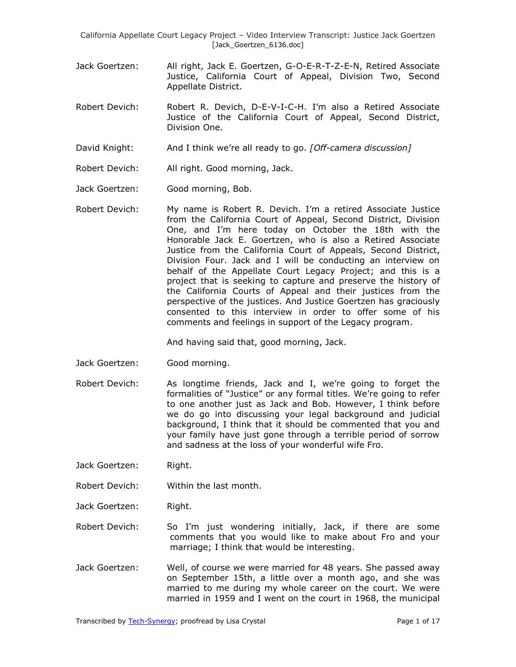- Jack Goertzen: All right, Jack E. Goertzen, G-O-E-R-T-Z-E-N, Retired Associate Justice, California Court of Appeal, Division Two, Second Appellate District.
- Robert Devich: Robert R. Devich, D-E-V-I-C-H. I'm also a Retired Associate Justice of the California Court of Appeal, Second District, Division One.
- David Knight: And I think we're all ready to go. *[Off-camera discussion]*
- Robert Devich: All right. Good morning, Jack.
- Jack Goertzen: Good morning, Bob.
- Robert Devich: My name is Robert R. Devich. I'm a retired Associate Justice from the California Court of Appeal, Second District, Division One, and I'm here today on October the 18th with the Honorable Jack E. Goertzen, who is also a Retired Associate Justice from the California Court of Appeals, Second District, Division Four. Jack and I will be conducting an interview on behalf of the Appellate Court Legacy Project; and this is a project that is seeking to capture and preserve the history of the California Courts of Appeal and their justices from the perspective of the justices. And Justice Goertzen has graciously consented to this interview in order to offer some of his comments and feelings in support of the Legacy program.

And having said that, good morning, Jack.

- Jack Goertzen: Good morning.
- Robert Devich: As longtime friends, Jack and I, we're going to forget the formalities of "Justice" or any formal titles. We're going to refer to one another just as Jack and Bob. However, I think before we do go into discussing your legal background and judicial background, I think that it should be commented that you and your family have just gone through a terrible period of sorrow and sadness at the loss of your wonderful wife Fro.
- Jack Goertzen: Right.
- Robert Devich: Within the last month.
- Jack Goertzen: Right.
- Robert Devich: So I'm just wondering initially, Jack, if there are some comments that you would like to make about Fro and your marriage; I think that would be interesting.
- Jack Goertzen: Well, of course we were married for 48 years. She passed away on September 15th, a little over a month ago, and she was married to me during my whole career on the court. We were married in 1959 and I went on the court in 1968, the municipal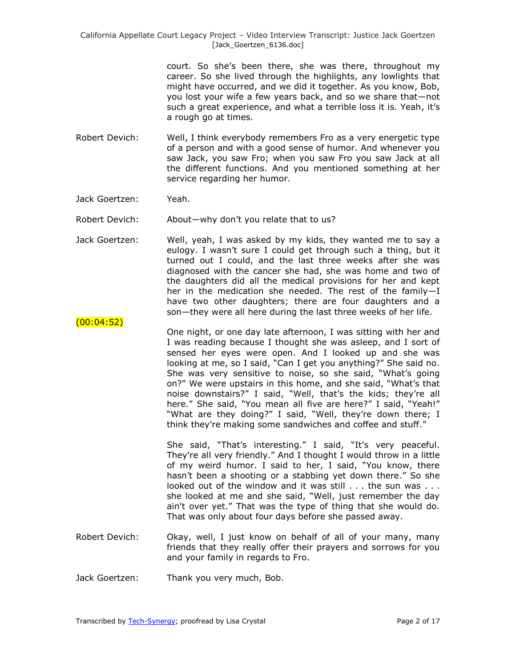> court. So she's been there, she was there, throughout my career. So she lived through the highlights, any lowlights that might have occurred, and we did it together. As you know, Bob, you lost your wife a few years back, and so we share that—not such a great experience, and what a terrible loss it is. Yeah, it's a rough go at times.

- Robert Devich: Well, I think everybody remembers Fro as a very energetic type of a person and with a good sense of humor. And whenever you saw Jack, you saw Fro; when you saw Fro you saw Jack at all the different functions. And you mentioned something at her service regarding her humor.
- Jack Goertzen: Yeah.

(00:04:52)

- Robert Devich: About—why don't you relate that to us?
- Jack Goertzen: Well, yeah, I was asked by my kids, they wanted me to say a eulogy. I wasn't sure I could get through such a thing, but it turned out I could, and the last three weeks after she was diagnosed with the cancer she had, she was home and two of the daughters did all the medical provisions for her and kept her in the medication she needed. The rest of the family—I have two other daughters; there are four daughters and a son—they were all here during the last three weeks of her life.
- One night, or one day late afternoon, I was sitting with her and I was reading because I thought she was asleep, and I sort of sensed her eyes were open. And I looked up and she was looking at me, so I said, "Can I get you anything?" She said no. She was very sensitive to noise, so she said, "What's going on?" We were upstairs in this home, and she said, "What's that noise downstairs?" I said, "Well, that's the kids; they're all here." She said, "You mean all five are here?" I said, "Yeah!" "What are they doing?" I said, "Well, they're down there; I think they're making some sandwiches and coffee and stuff."

She said, "That's interesting." I said, "It's very peaceful. They're all very friendly." And I thought I would throw in a little of my weird humor. I said to her, I said, "You know, there hasn't been a shooting or a stabbing yet down there." So she looked out of the window and it was still . . . the sun was . . . she looked at me and she said, "Well, just remember the day ain't over yet." That was the type of thing that she would do. That was only about four days before she passed away.

- Robert Devich: Okay, well, I just know on behalf of all of your many, many friends that they really offer their prayers and sorrows for you and your family in regards to Fro.
- Jack Goertzen: Thank you very much, Bob.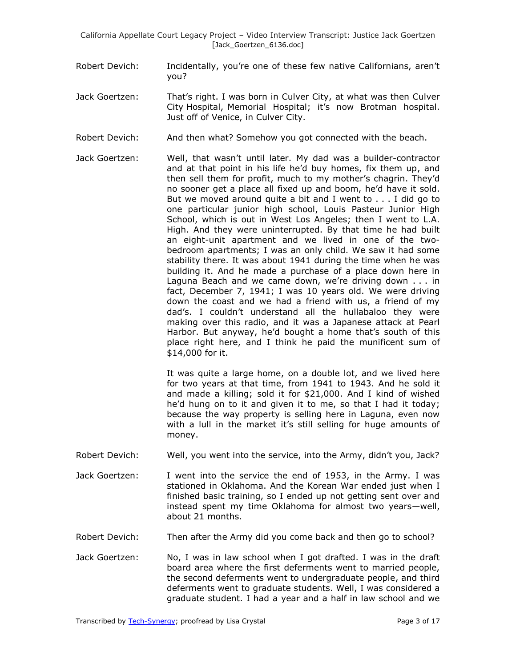- Robert Devich: Incidentally, you're one of these few native Californians, aren't you?
- Jack Goertzen: That's right. I was born in Culver City, at what was then Culver City Hospital, Memorial Hospital; it's now Brotman hospital. Just off of Venice, in Culver City.
- Robert Devich: And then what? Somehow you got connected with the beach.
- Jack Goertzen: Well, that wasn't until later. My dad was a builder-contractor and at that point in his life he'd buy homes, fix them up, and then sell them for profit, much to my mother's chagrin. They'd no sooner get a place all fixed up and boom, he'd have it sold. But we moved around quite a bit and I went to . . . I did go to one particular junior high school, Louis Pasteur Junior High School, which is out in West Los Angeles; then I went to L.A. High. And they were uninterrupted. By that time he had built an eight-unit apartment and we lived in one of the twobedroom apartments; I was an only child. We saw it had some stability there. It was about 1941 during the time when he was building it. And he made a purchase of a place down here in Laguna Beach and we came down, we're driving down . . . in fact, December 7, 1941; I was 10 years old. We were driving down the coast and we had a friend with us, a friend of my dad's. I couldn't understand all the hullabaloo they were making over this radio, and it was a Japanese attack at Pearl Harbor. But anyway, he'd bought a home that's south of this place right here, and I think he paid the munificent sum of \$14,000 for it.

It was quite a large home, on a double lot, and we lived here for two years at that time, from 1941 to 1943. And he sold it and made a killing; sold it for \$21,000. And I kind of wished he'd hung on to it and given it to me, so that I had it today; because the way property is selling here in Laguna, even now with a lull in the market it's still selling for huge amounts of money.

- Robert Devich: Well, you went into the service, into the Army, didn't you, Jack?
- Jack Goertzen: I went into the service the end of 1953, in the Army. I was stationed in Oklahoma. And the Korean War ended just when I finished basic training, so I ended up not getting sent over and instead spent my time Oklahoma for almost two years—well, about 21 months.
- Robert Devich: Then after the Army did you come back and then go to school?
- Jack Goertzen: No, I was in law school when I got drafted. I was in the draft board area where the first deferments went to married people, the second deferments went to undergraduate people, and third deferments went to graduate students. Well, I was considered a graduate student. I had a year and a half in law school and we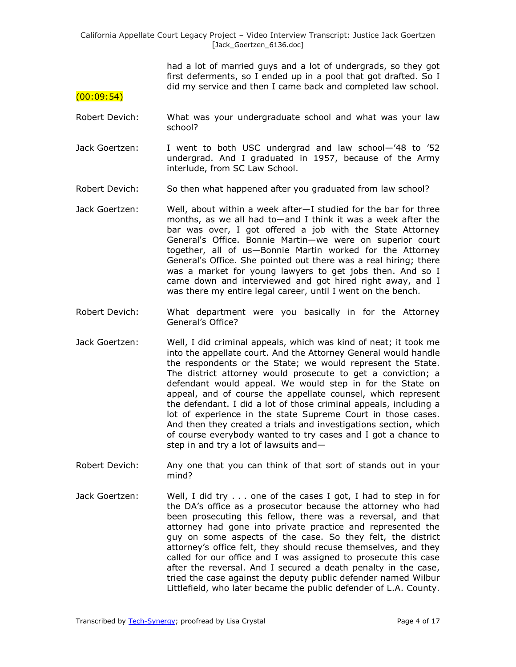> had a lot of married guys and a lot of undergrads, so they got first deferments, so I ended up in a pool that got drafted. So I did my service and then I came back and completed law school.

### $(00:09:54)$

- Robert Devich: What was your undergraduate school and what was your law school?
- Jack Goertzen: I went to both USC undergrad and law school—'48 to '52 undergrad. And I graduated in 1957, because of the Army interlude, from SC Law School.
- Robert Devich: So then what happened after you graduated from law school?
- Jack Goertzen: Well, about within a week after—I studied for the bar for three months, as we all had to—and I think it was a week after the bar was over, I got offered a job with the State Attorney General's Office. Bonnie Martin—we were on superior court together, all of us—Bonnie Martin worked for the Attorney General's Office. She pointed out there was a real hiring; there was a market for young lawyers to get jobs then. And so I came down and interviewed and got hired right away, and I was there my entire legal career, until I went on the bench.
- Robert Devich: What department were you basically in for the Attorney General's Office?
- Jack Goertzen: Well, I did criminal appeals, which was kind of neat; it took me into the appellate court. And the Attorney General would handle the respondents or the State; we would represent the State. The district attorney would prosecute to get a conviction; a defendant would appeal. We would step in for the State on appeal, and of course the appellate counsel, which represent the defendant. I did a lot of those criminal appeals, including a lot of experience in the state Supreme Court in those cases. And then they created a trials and investigations section, which of course everybody wanted to try cases and I got a chance to step in and try a lot of lawsuits and—
- Robert Devich: Any one that you can think of that sort of stands out in your mind?
- Jack Goertzen: Well, I did try . . . one of the cases I got, I had to step in for the DA's office as a prosecutor because the attorney who had been prosecuting this fellow, there was a reversal, and that attorney had gone into private practice and represented the guy on some aspects of the case. So they felt, the district attorney's office felt, they should recuse themselves, and they called for our office and I was assigned to prosecute this case after the reversal. And I secured a death penalty in the case, tried the case against the deputy public defender named Wilbur Littlefield, who later became the public defender of L.A. County.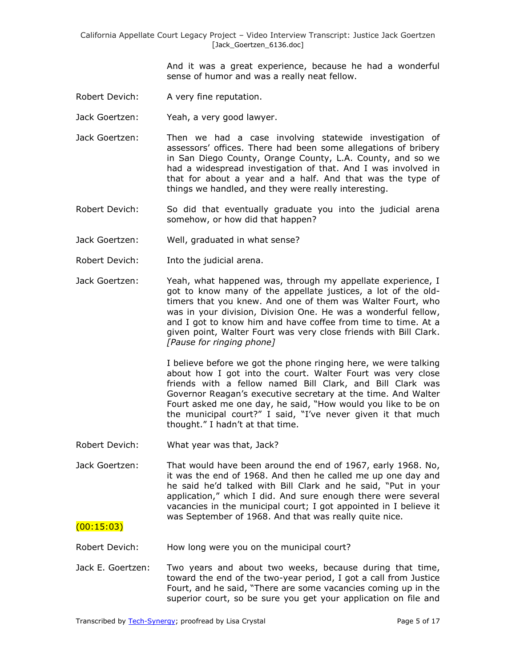> And it was a great experience, because he had a wonderful sense of humor and was a really neat fellow.

Robert Devich: A very fine reputation.

Jack Goertzen: Yeah, a very good lawyer.

- Jack Goertzen: Then we had a case involving statewide investigation of assessors' offices. There had been some allegations of bribery in San Diego County, Orange County, L.A. County, and so we had a widespread investigation of that. And I was involved in that for about a year and a half. And that was the type of things we handled, and they were really interesting.
- Robert Devich: So did that eventually graduate you into the judicial arena somehow, or how did that happen?
- Jack Goertzen: Well, graduated in what sense?
- Robert Devich: Into the judicial arena.
- Jack Goertzen: Yeah, what happened was, through my appellate experience, I got to know many of the appellate justices, a lot of the oldtimers that you knew. And one of them was Walter Fourt, who was in your division, Division One. He was a wonderful fellow, and I got to know him and have coffee from time to time. At a given point, Walter Fourt was very close friends with Bill Clark. *[Pause for ringing phone]*

I believe before we got the phone ringing here, we were talking about how I got into the court. Walter Fourt was very close friends with a fellow named Bill Clark, and Bill Clark was Governor Reagan's executive secretary at the time. And Walter Fourt asked me one day, he said, "How would you like to be on the municipal court?" I said, "I've never given it that much thought.‖ I hadn't at that time.

- Robert Devich: What year was that, Jack?
- Jack Goertzen: That would have been around the end of 1967, early 1968. No, it was the end of 1968. And then he called me up one day and he said he'd talked with Bill Clark and he said, "Put in your application," which I did. And sure enough there were several vacancies in the municipal court; I got appointed in I believe it was September of 1968. And that was really quite nice.

### (00:15:03)

Robert Devich: How long were you on the municipal court?

Jack E. Goertzen: Two years and about two weeks, because during that time, toward the end of the two-year period, I got a call from Justice Fourt, and he said, "There are some vacancies coming up in the superior court, so be sure you get your application on file and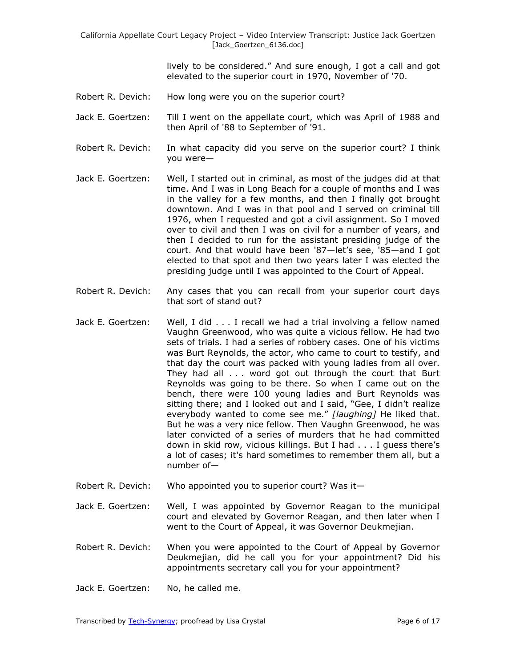lively to be considered." And sure enough, I got a call and got elevated to the superior court in 1970, November of '70.

- Robert R. Devich: How long were you on the superior court?
- Jack E. Goertzen: Till I went on the appellate court, which was April of 1988 and then April of '88 to September of '91.
- Robert R. Devich: In what capacity did you serve on the superior court? I think you were—
- Jack E. Goertzen: Well, I started out in criminal, as most of the judges did at that time. And I was in Long Beach for a couple of months and I was in the valley for a few months, and then I finally got brought downtown. And I was in that pool and I served on criminal till 1976, when I requested and got a civil assignment. So I moved over to civil and then I was on civil for a number of years, and then I decided to run for the assistant presiding judge of the court. And that would have been '87—let's see, '85—and I got elected to that spot and then two years later I was elected the presiding judge until I was appointed to the Court of Appeal.
- Robert R. Devich: Any cases that you can recall from your superior court days that sort of stand out?
- Jack E. Goertzen: Well, I did . . . I recall we had a trial involving a fellow named Vaughn Greenwood, who was quite a vicious fellow. He had two sets of trials. I had a series of robbery cases. One of his victims was Burt Reynolds, the actor, who came to court to testify, and that day the court was packed with young ladies from all over. They had all . . . word got out through the court that Burt Reynolds was going to be there. So when I came out on the bench, there were 100 young ladies and Burt Reynolds was sitting there; and I looked out and I said, "Gee, I didn't realize everybody wanted to come see me." [laughing] He liked that. But he was a very nice fellow. Then Vaughn Greenwood, he was later convicted of a series of murders that he had committed down in skid row, vicious killings. But I had . . . I guess there's a lot of cases; it's hard sometimes to remember them all, but a number of—
- Robert R. Devich: Who appointed you to superior court? Was it-
- Jack E. Goertzen: Well, I was appointed by Governor Reagan to the municipal court and elevated by Governor Reagan, and then later when I went to the Court of Appeal, it was Governor Deukmejian.
- Robert R. Devich: When you were appointed to the Court of Appeal by Governor Deukmejian, did he call you for your appointment? Did his appointments secretary call you for your appointment?
- Jack E. Goertzen: No, he called me.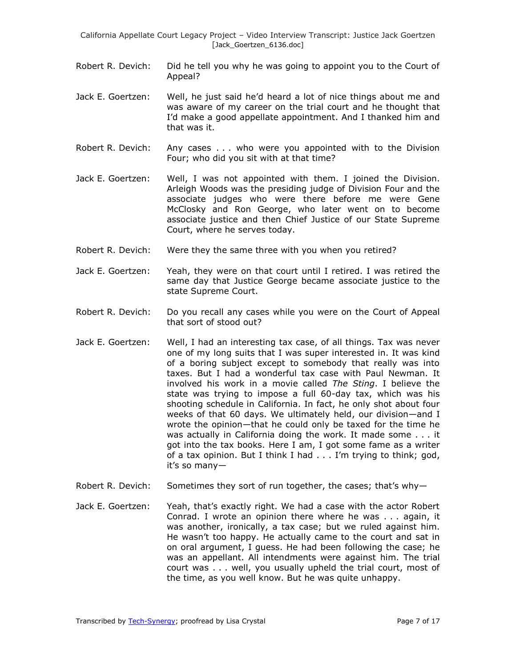- Robert R. Devich: Did he tell you why he was going to appoint you to the Court of Appeal?
- Jack E. Goertzen: Well, he just said he'd heard a lot of nice things about me and was aware of my career on the trial court and he thought that I'd make a good appellate appointment. And I thanked him and that was it.
- Robert R. Devich: Any cases . . . who were you appointed with to the Division Four; who did you sit with at that time?
- Jack E. Goertzen: Well, I was not appointed with them. I joined the Division. Arleigh Woods was the presiding judge of Division Four and the associate judges who were there before me were Gene McClosky and Ron George, who later went on to become associate justice and then Chief Justice of our State Supreme Court, where he serves today.
- Robert R. Devich: Were they the same three with you when you retired?
- Jack E. Goertzen: Yeah, they were on that court until I retired. I was retired the same day that Justice George became associate justice to the state Supreme Court.
- Robert R. Devich: Do you recall any cases while you were on the Court of Appeal that sort of stood out?
- Jack E. Goertzen: Well, I had an interesting tax case, of all things. Tax was never one of my long suits that I was super interested in. It was kind of a boring subject except to somebody that really was into taxes. But I had a wonderful tax case with Paul Newman. It involved his work in a movie called *The Sting*. I believe the state was trying to impose a full 60-day tax, which was his shooting schedule in California. In fact, he only shot about four weeks of that 60 days. We ultimately held, our division—and I wrote the opinion—that he could only be taxed for the time he was actually in California doing the work. It made some . . . it got into the tax books. Here I am, I got some fame as a writer of a tax opinion. But I think I had . . . I'm trying to think; god, it's so many—
- Robert R. Devich: Sometimes they sort of run together, the cases; that's why-
- Jack E. Goertzen: Yeah, that's exactly right. We had a case with the actor Robert Conrad. I wrote an opinion there where he was . . . again, it was another, ironically, a tax case; but we ruled against him. He wasn't too happy. He actually came to the court and sat in on oral argument, I guess. He had been following the case; he was an appellant. All intendments were against him. The trial court was . . . well, you usually upheld the trial court, most of the time, as you well know. But he was quite unhappy.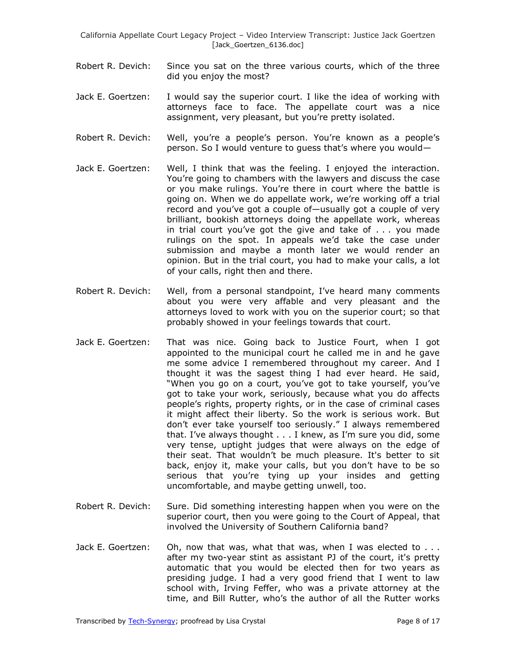- Robert R. Devich: Since you sat on the three various courts, which of the three did you enjoy the most?
- Jack E. Goertzen: I would say the superior court. I like the idea of working with attorneys face to face. The appellate court was a nice assignment, very pleasant, but you're pretty isolated.
- Robert R. Devich: Well, you're a people's person. You're known as a people's person. So I would venture to guess that's where you would—
- Jack E. Goertzen: Well, I think that was the feeling. I enjoyed the interaction. You're going to chambers with the lawyers and discuss the case or you make rulings. You're there in court where the battle is going on. When we do appellate work, we're working off a trial record and you've got a couple of—usually got a couple of very brilliant, bookish attorneys doing the appellate work, whereas in trial court you've got the give and take of . . . you made rulings on the spot. In appeals we'd take the case under submission and maybe a month later we would render an opinion. But in the trial court, you had to make your calls, a lot of your calls, right then and there.
- Robert R. Devich: Well, from a personal standpoint, I've heard many comments about you were very affable and very pleasant and the attorneys loved to work with you on the superior court; so that probably showed in your feelings towards that court.
- Jack E. Goertzen: That was nice. Going back to Justice Fourt, when I got appointed to the municipal court he called me in and he gave me some advice I remembered throughout my career. And I thought it was the sagest thing I had ever heard. He said, "When you go on a court, you've got to take yourself, you've got to take your work, seriously, because what you do affects people's rights, property rights, or in the case of criminal cases it might affect their liberty. So the work is serious work. But don't ever take yourself too seriously.‖ I always remembered that. I've always thought . . . I knew, as I'm sure you did, some very tense, uptight judges that were always on the edge of their seat. That wouldn't be much pleasure. It's better to sit back, enjoy it, make your calls, but you don't have to be so serious that you're tying up your insides and getting uncomfortable, and maybe getting unwell, too.
- Robert R. Devich: Sure. Did something interesting happen when you were on the superior court, then you were going to the Court of Appeal, that involved the University of Southern California band?
- Jack E. Goertzen: Oh, now that was, what that was, when I was elected to . . . after my two-year stint as assistant PJ of the court, it's pretty automatic that you would be elected then for two years as presiding judge. I had a very good friend that I went to law school with, Irving Feffer, who was a private attorney at the time, and Bill Rutter, who's the author of all the Rutter works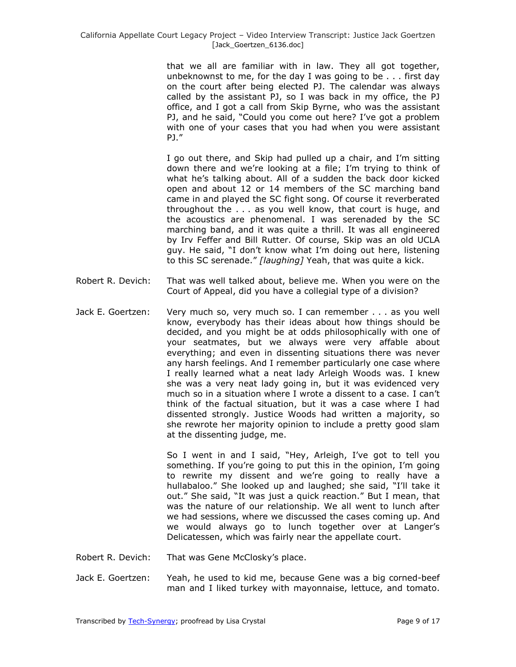that we all are familiar with in law. They all got together, unbeknownst to me, for the day I was going to be . . . first day on the court after being elected PJ. The calendar was always called by the assistant PJ, so I was back in my office, the PJ office, and I got a call from Skip Byrne, who was the assistant PJ, and he said, "Could you come out here? I've got a problem with one of your cases that you had when you were assistant PJ.‖

I go out there, and Skip had pulled up a chair, and I'm sitting down there and we're looking at a file; I'm trying to think of what he's talking about. All of a sudden the back door kicked open and about 12 or 14 members of the SC marching band came in and played the SC fight song. Of course it reverberated throughout the . . . as you well know, that court is huge, and the acoustics are phenomenal. I was serenaded by the SC marching band, and it was quite a thrill. It was all engineered by Irv Feffer and Bill Rutter. Of course, Skip was an old UCLA guy. He said, "I don't know what I'm doing out here, listening to this SC serenade.‖ *[laughing]* Yeah, that was quite a kick.

- Robert R. Devich: That was well talked about, believe me. When you were on the Court of Appeal, did you have a collegial type of a division?
- Jack E. Goertzen: Very much so, very much so. I can remember . . . as you well know, everybody has their ideas about how things should be decided, and you might be at odds philosophically with one of your seatmates, but we always were very affable about everything; and even in dissenting situations there was never any harsh feelings. And I remember particularly one case where I really learned what a neat lady Arleigh Woods was. I knew she was a very neat lady going in, but it was evidenced very much so in a situation where I wrote a dissent to a case. I can't think of the factual situation, but it was a case where I had dissented strongly. Justice Woods had written a majority, so she rewrote her majority opinion to include a pretty good slam at the dissenting judge, me.

So I went in and I said, "Hey, Arleigh, I've got to tell you something. If you're going to put this in the opinion, I'm going to rewrite my dissent and we're going to really have a hullabaloo." She looked up and laughed; she said, "I'll take it out." She said, "It was just a quick reaction." But I mean, that was the nature of our relationship. We all went to lunch after we had sessions, where we discussed the cases coming up. And we would always go to lunch together over at Langer's Delicatessen, which was fairly near the appellate court.

- Robert R. Devich: That was Gene McClosky's place.
- Jack E. Goertzen: Yeah, he used to kid me, because Gene was a big corned-beef man and I liked turkey with mayonnaise, lettuce, and tomato.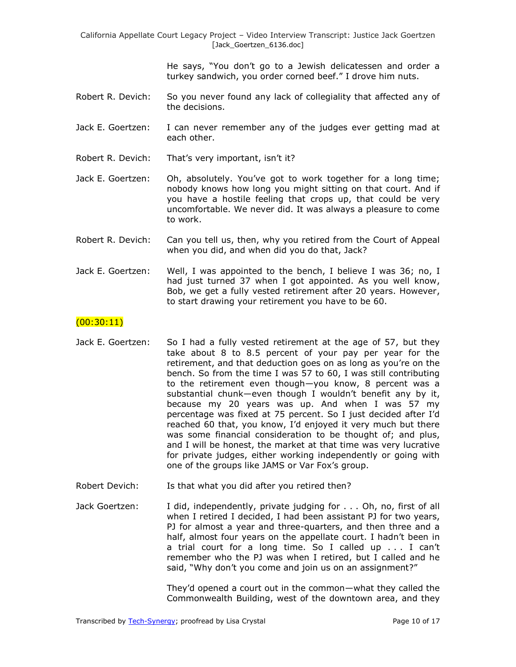He says, "You don't go to a Jewish delicatessen and order a turkey sandwich, you order corned beef." I drove him nuts.

- Robert R. Devich: So you never found any lack of collegiality that affected any of the decisions.
- Jack E. Goertzen: I can never remember any of the judges ever getting mad at each other.
- Robert R. Devich: That's very important, isn't it?
- Jack E. Goertzen: Oh, absolutely. You've got to work together for a long time; nobody knows how long you might sitting on that court. And if you have a hostile feeling that crops up, that could be very uncomfortable. We never did. It was always a pleasure to come to work.
- Robert R. Devich: Can you tell us, then, why you retired from the Court of Appeal when you did, and when did you do that, Jack?
- Jack E. Goertzen: Well, I was appointed to the bench, I believe I was 36; no, I had just turned 37 when I got appointed. As you well know, Bob, we get a fully vested retirement after 20 years. However, to start drawing your retirement you have to be 60.

# $(00:30:11)$

- Jack E. Goertzen: So I had a fully vested retirement at the age of 57, but they take about 8 to 8.5 percent of your pay per year for the retirement, and that deduction goes on as long as you're on the bench. So from the time I was 57 to 60, I was still contributing to the retirement even though—you know, 8 percent was a substantial chunk—even though I wouldn't benefit any by it, because my 20 years was up. And when I was 57 my percentage was fixed at 75 percent. So I just decided after I'd reached 60 that, you know, I'd enjoyed it very much but there was some financial consideration to be thought of; and plus, and I will be honest, the market at that time was very lucrative for private judges, either working independently or going with one of the groups like JAMS or Var Fox's group.
- Robert Devich: Is that what you did after you retired then?
- Jack Goertzen: I did, independently, private judging for . . . Oh, no, first of all when I retired I decided, I had been assistant PJ for two years, PJ for almost a year and three-quarters, and then three and a half, almost four years on the appellate court. I hadn't been in a trial court for a long time. So I called up . . . I can't remember who the PJ was when I retired, but I called and he said, "Why don't you come and join us on an assignment?"

They'd opened a court out in the common—what they called the Commonwealth Building, west of the downtown area, and they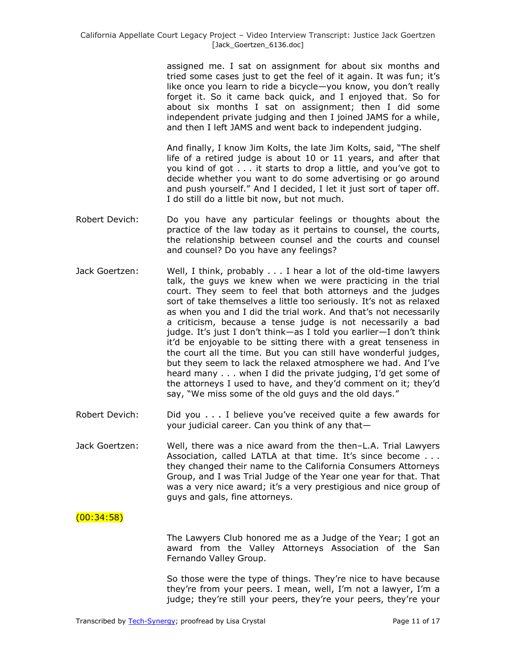assigned me. I sat on assignment for about six months and tried some cases just to get the feel of it again. It was fun; it's like once you learn to ride a bicycle—you know, you don't really forget it. So it came back quick, and I enjoyed that. So for about six months I sat on assignment; then I did some independent private judging and then I joined JAMS for a while, and then I left JAMS and went back to independent judging.

And finally, I know Jim Kolts, the late Jim Kolts, said, "The shelf life of a retired judge is about 10 or 11 years, and after that you kind of got . . . it starts to drop a little, and you've got to decide whether you want to do some advertising or go around and push yourself." And I decided, I let it just sort of taper off. I do still do a little bit now, but not much.

- Robert Devich: Do you have any particular feelings or thoughts about the practice of the law today as it pertains to counsel, the courts, the relationship between counsel and the courts and counsel and counsel? Do you have any feelings?
- Jack Goertzen: Well, I think, probably . . . I hear a lot of the old-time lawyers talk, the guys we knew when we were practicing in the trial court. They seem to feel that both attorneys and the judges sort of take themselves a little too seriously. It's not as relaxed as when you and I did the trial work. And that's not necessarily a criticism, because a tense judge is not necessarily a bad judge. It's just I don't think—as I told you earlier—I don't think it'd be enjoyable to be sitting there with a great tenseness in the court all the time. But you can still have wonderful judges, but they seem to lack the relaxed atmosphere we had. And I've heard many . . . when I did the private judging, I'd get some of the attorneys I used to have, and they'd comment on it; they'd say, "We miss some of the old guys and the old days."
- Robert Devich: Did you . . . I believe you've received quite a few awards for your judicial career. Can you think of any that—
- Jack Goertzen: Well, there was a nice award from the then–L.A. Trial Lawyers Association, called LATLA at that time. It's since become . . . they changed their name to the California Consumers Attorneys Group, and I was Trial Judge of the Year one year for that. That was a very nice award; it's a very prestigious and nice group of guys and gals, fine attorneys.

# (00:34:58)

The Lawyers Club honored me as a Judge of the Year; I got an award from the Valley Attorneys Association of the San Fernando Valley Group.

So those were the type of things. They're nice to have because they're from your peers. I mean, well, I'm not a lawyer, I'm a judge; they're still your peers, they're your peers, they're your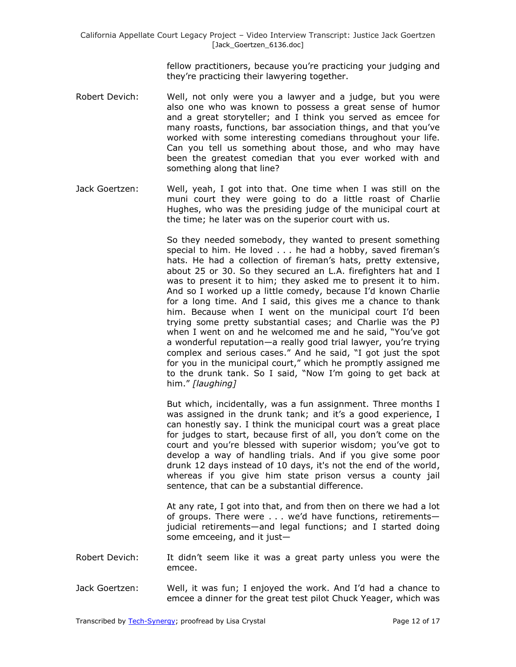fellow practitioners, because you're practicing your judging and they're practicing their lawyering together.

- Robert Devich: Well, not only were you a lawyer and a judge, but you were also one who was known to possess a great sense of humor and a great storyteller; and I think you served as emcee for many roasts, functions, bar association things, and that you've worked with some interesting comedians throughout your life. Can you tell us something about those, and who may have been the greatest comedian that you ever worked with and something along that line?
- Jack Goertzen: Well, yeah, I got into that. One time when I was still on the muni court they were going to do a little roast of Charlie Hughes, who was the presiding judge of the municipal court at the time; he later was on the superior court with us.

So they needed somebody, they wanted to present something special to him. He loved . . . he had a hobby, saved fireman's hats. He had a collection of fireman's hats, pretty extensive, about 25 or 30. So they secured an L.A. firefighters hat and I was to present it to him; they asked me to present it to him. And so I worked up a little comedy, because I'd known Charlie for a long time. And I said, this gives me a chance to thank him. Because when I went on the municipal court I'd been trying some pretty substantial cases; and Charlie was the PJ when I went on and he welcomed me and he said, "You've got a wonderful reputation—a really good trial lawyer, you're trying complex and serious cases." And he said, "I got just the spot for you in the municipal court," which he promptly assigned me to the drunk tank. So I said, "Now I'm going to get back at him." *[laughing]* 

But which, incidentally, was a fun assignment. Three months I was assigned in the drunk tank; and it's a good experience, I can honestly say. I think the municipal court was a great place for judges to start, because first of all, you don't come on the court and you're blessed with superior wisdom; you've got to develop a way of handling trials. And if you give some poor drunk 12 days instead of 10 days, it's not the end of the world, whereas if you give him state prison versus a county jail sentence, that can be a substantial difference.

At any rate, I got into that, and from then on there we had a lot of groups. There were . . . we'd have functions, retirements judicial retirements—and legal functions; and I started doing some emceeing, and it just—

- Robert Devich: It didn't seem like it was a great party unless you were the emcee.
- Jack Goertzen: Well, it was fun; I enjoyed the work. And I'd had a chance to emcee a dinner for the great test pilot Chuck Yeager, which was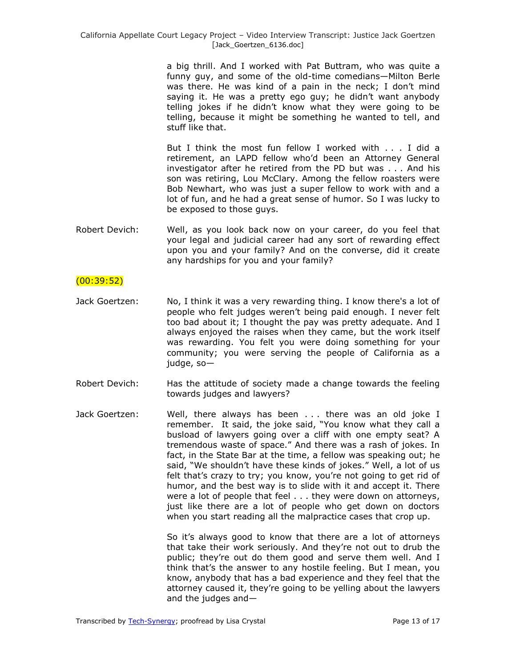a big thrill. And I worked with Pat Buttram, who was quite a funny guy, and some of the old-time comedians—Milton Berle was there. He was kind of a pain in the neck; I don't mind saying it. He was a pretty ego guy; he didn't want anybody telling jokes if he didn't know what they were going to be telling, because it might be something he wanted to tell, and stuff like that.

But I think the most fun fellow I worked with . . . I did a retirement, an LAPD fellow who'd been an Attorney General investigator after he retired from the PD but was . . . And his son was retiring, Lou McClary. Among the fellow roasters were Bob Newhart, who was just a super fellow to work with and a lot of fun, and he had a great sense of humor. So I was lucky to be exposed to those guys.

Robert Devich: Well, as you look back now on your career, do you feel that your legal and judicial career had any sort of rewarding effect upon you and your family? And on the converse, did it create any hardships for you and your family?

# (00:39:52)

- Jack Goertzen: No, I think it was a very rewarding thing. I know there's a lot of people who felt judges weren't being paid enough. I never felt too bad about it; I thought the pay was pretty adequate. And I always enjoyed the raises when they came, but the work itself was rewarding. You felt you were doing something for your community; you were serving the people of California as a judge, so—
- Robert Devich: Has the attitude of society made a change towards the feeling towards judges and lawyers?
- Jack Goertzen: Well, there always has been . . . there was an old joke I remember. It said, the joke said, "You know what they call a busload of lawyers going over a cliff with one empty seat? A tremendous waste of space." And there was a rash of jokes. In fact, in the State Bar at the time, a fellow was speaking out; he said, "We shouldn't have these kinds of jokes." Well, a lot of us felt that's crazy to try; you know, you're not going to get rid of humor, and the best way is to slide with it and accept it. There were a lot of people that feel . . . they were down on attorneys, just like there are a lot of people who get down on doctors when you start reading all the malpractice cases that crop up.

So it's always good to know that there are a lot of attorneys that take their work seriously. And they're not out to drub the public; they're out do them good and serve them well. And I think that's the answer to any hostile feeling. But I mean, you know, anybody that has a bad experience and they feel that the attorney caused it, they're going to be yelling about the lawyers and the judges and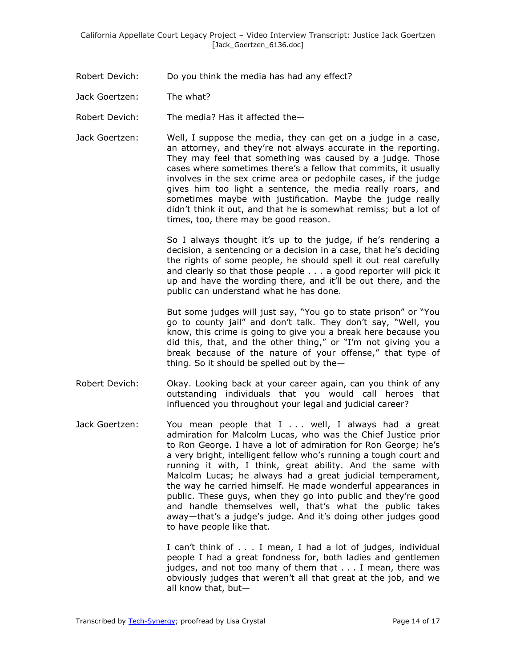Robert Devich: Do you think the media has had any effect?

Jack Goertzen: The what?

Robert Devich: The media? Has it affected the—

Jack Goertzen: Well, I suppose the media, they can get on a judge in a case, an attorney, and they're not always accurate in the reporting. They may feel that something was caused by a judge. Those cases where sometimes there's a fellow that commits, it usually involves in the sex crime area or pedophile cases, if the judge gives him too light a sentence, the media really roars, and sometimes maybe with justification. Maybe the judge really didn't think it out, and that he is somewhat remiss; but a lot of times, too, there may be good reason.

> So I always thought it's up to the judge, if he's rendering a decision, a sentencing or a decision in a case, that he's deciding the rights of some people, he should spell it out real carefully and clearly so that those people . . . a good reporter will pick it up and have the wording there, and it'll be out there, and the public can understand what he has done.

> But some judges will just say, "You go to state prison" or "You go to county jail" and don't talk. They don't say, "Well, you know, this crime is going to give you a break here because you did this, that, and the other thing," or "I'm not giving you a break because of the nature of your offense," that type of thing. So it should be spelled out by the—

- Robert Devich: Okay. Looking back at your career again, can you think of any outstanding individuals that you would call heroes that influenced you throughout your legal and judicial career?
- Jack Goertzen: You mean people that I ... well, I always had a great admiration for Malcolm Lucas, who was the Chief Justice prior to Ron George. I have a lot of admiration for Ron George; he's a very bright, intelligent fellow who's running a tough court and running it with, I think, great ability. And the same with Malcolm Lucas; he always had a great judicial temperament, the way he carried himself. He made wonderful appearances in public. These guys, when they go into public and they're good and handle themselves well, that's what the public takes away—that's a judge's judge. And it's doing other judges good to have people like that.

I can't think of . . . I mean, I had a lot of judges, individual people I had a great fondness for, both ladies and gentlemen judges, and not too many of them that . . . I mean, there was obviously judges that weren't all that great at the job, and we all know that, but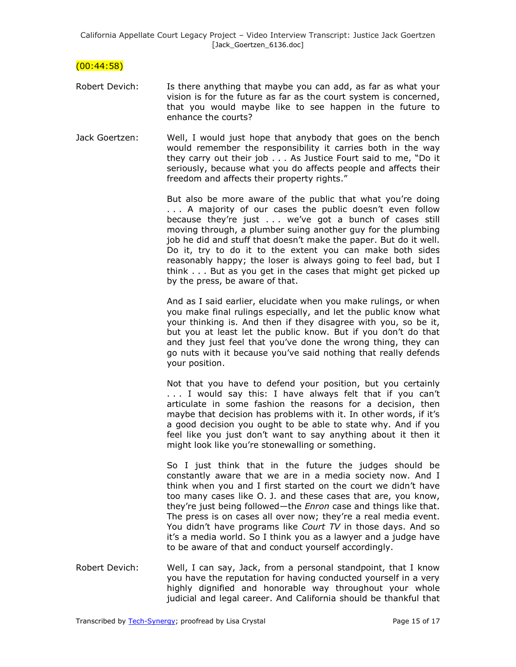$(00:44:58)$ 

- Robert Devich: Is there anything that maybe you can add, as far as what your vision is for the future as far as the court system is concerned, that you would maybe like to see happen in the future to enhance the courts?
- Jack Goertzen: Well, I would just hope that anybody that goes on the bench would remember the responsibility it carries both in the way they carry out their job  $\ldots$  As Justice Fourt said to me, "Do it seriously, because what you do affects people and affects their freedom and affects their property rights."

But also be more aware of the public that what you're doing . . . A majority of our cases the public doesn't even follow because they're just . . . we've got a bunch of cases still moving through, a plumber suing another guy for the plumbing job he did and stuff that doesn't make the paper. But do it well. Do it, try to do it to the extent you can make both sides reasonably happy; the loser is always going to feel bad, but I think . . . But as you get in the cases that might get picked up by the press, be aware of that.

And as I said earlier, elucidate when you make rulings, or when you make final rulings especially, and let the public know what your thinking is. And then if they disagree with you, so be it, but you at least let the public know. But if you don't do that and they just feel that you've done the wrong thing, they can go nuts with it because you've said nothing that really defends your position.

Not that you have to defend your position, but you certainly . . . I would say this: I have always felt that if you can't articulate in some fashion the reasons for a decision, then maybe that decision has problems with it. In other words, if it's a good decision you ought to be able to state why. And if you feel like you just don't want to say anything about it then it might look like you're stonewalling or something.

So I just think that in the future the judges should be constantly aware that we are in a media society now. And I think when you and I first started on the court we didn't have too many cases like O. J. and these cases that are, you know, they're just being followed—the *Enron* case and things like that. The press is on cases all over now; they're a real media event. You didn't have programs like *Court TV* in those days. And so it's a media world. So I think you as a lawyer and a judge have to be aware of that and conduct yourself accordingly.

Robert Devich: Well, I can say, Jack, from a personal standpoint, that I know you have the reputation for having conducted yourself in a very highly dignified and honorable way throughout your whole judicial and legal career. And California should be thankful that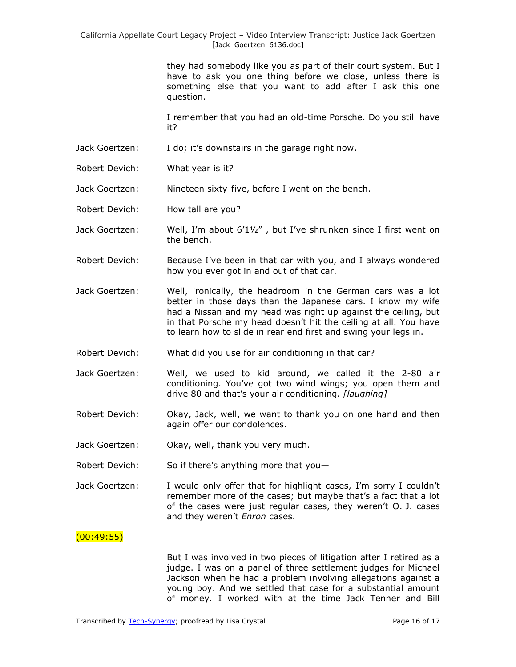they had somebody like you as part of their court system. But I have to ask you one thing before we close, unless there is something else that you want to add after I ask this one question.

I remember that you had an old-time Porsche. Do you still have it?

- Jack Goertzen: I do; it's downstairs in the garage right now.
- Robert Devich: What year is it?

Jack Goertzen: Nineteen sixty-five, before I went on the bench.

Robert Devich: How tall are you?

- Jack Goertzen: Well, I'm about  $6'1\frac{1}{2}$ , but I've shrunken since I first went on the bench.
- Robert Devich: Because I've been in that car with you, and I always wondered how you ever got in and out of that car.
- Jack Goertzen: Well, ironically, the headroom in the German cars was a lot better in those days than the Japanese cars. I know my wife had a Nissan and my head was right up against the ceiling, but in that Porsche my head doesn't hit the ceiling at all. You have to learn how to slide in rear end first and swing your legs in.
- Robert Devich: What did you use for air conditioning in that car?
- Jack Goertzen: Well, we used to kid around, we called it the 2-80 air conditioning. You've got two wind wings; you open them and drive 80 and that's your air conditioning. *[laughing]*
- Robert Devich: Okay, Jack, well, we want to thank you on one hand and then again offer our condolences.
- Jack Goertzen: Okay, well, thank you very much.
- Robert Devich: So if there's anything more that you—
- Jack Goertzen: I would only offer that for highlight cases, I'm sorry I couldn't remember more of the cases; but maybe that's a fact that a lot of the cases were just regular cases, they weren't O. J. cases and they weren't *Enron* cases.

# $(00:49:55)$

But I was involved in two pieces of litigation after I retired as a judge. I was on a panel of three settlement judges for Michael Jackson when he had a problem involving allegations against a young boy. And we settled that case for a substantial amount of money. I worked with at the time Jack Tenner and Bill